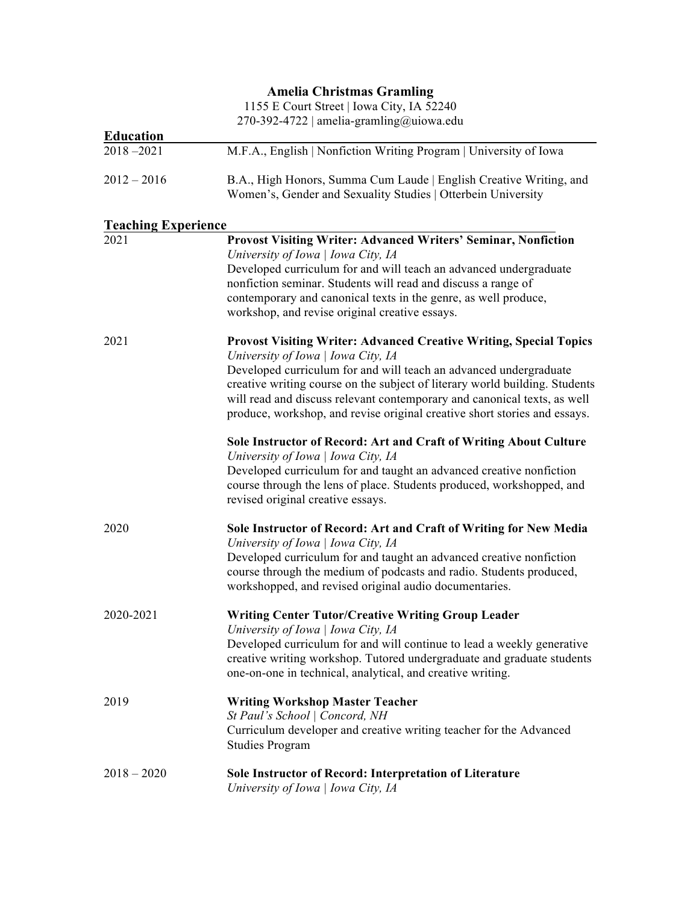| <b>Amelia Christmas Gramling</b> |                                                                                                                                                                                                                                                                                                           |  |
|----------------------------------|-----------------------------------------------------------------------------------------------------------------------------------------------------------------------------------------------------------------------------------------------------------------------------------------------------------|--|
|                                  | 1155 E Court Street   Iowa City, IA 52240                                                                                                                                                                                                                                                                 |  |
|                                  | 270-392-4722   amelia-gramling@uiowa.edu                                                                                                                                                                                                                                                                  |  |
| <b>Education</b>                 |                                                                                                                                                                                                                                                                                                           |  |
| $2018 - 2021$                    | M.F.A., English   Nonfiction Writing Program   University of Iowa                                                                                                                                                                                                                                         |  |
| $2012 - 2016$                    | B.A., High Honors, Summa Cum Laude   English Creative Writing, and<br>Women's, Gender and Sexuality Studies   Otterbein University                                                                                                                                                                        |  |
| <b>Teaching Experience</b>       |                                                                                                                                                                                                                                                                                                           |  |
| 2021                             | Provost Visiting Writer: Advanced Writers' Seminar, Nonfiction<br>University of Iowa   Iowa City, IA                                                                                                                                                                                                      |  |
|                                  | Developed curriculum for and will teach an advanced undergraduate<br>nonfiction seminar. Students will read and discuss a range of<br>contemporary and canonical texts in the genre, as well produce,<br>workshop, and revise original creative essays.                                                   |  |
| 2021                             | <b>Provost Visiting Writer: Advanced Creative Writing, Special Topics</b><br>University of Iowa   Iowa City, IA                                                                                                                                                                                           |  |
|                                  | Developed curriculum for and will teach an advanced undergraduate<br>creative writing course on the subject of literary world building. Students<br>will read and discuss relevant contemporary and canonical texts, as well<br>produce, workshop, and revise original creative short stories and essays. |  |
|                                  | Sole Instructor of Record: Art and Craft of Writing About Culture<br>University of Iowa   Iowa City, IA<br>Developed curriculum for and taught an advanced creative nonfiction<br>course through the lens of place. Students produced, workshopped, and<br>revised original creative essays.              |  |
| 2020                             | Sole Instructor of Record: Art and Craft of Writing for New Media<br>University of Iowa   Iowa City, IA                                                                                                                                                                                                   |  |
|                                  | Developed curriculum for and taught an advanced creative nonfiction<br>course through the medium of podcasts and radio. Students produced,<br>workshopped, and revised original audio documentaries.                                                                                                      |  |
| 2020-2021                        | <b>Writing Center Tutor/Creative Writing Group Leader</b><br>University of Iowa   Iowa City, IA                                                                                                                                                                                                           |  |
|                                  | Developed curriculum for and will continue to lead a weekly generative<br>creative writing workshop. Tutored undergraduate and graduate students<br>one-on-one in technical, analytical, and creative writing.                                                                                            |  |
| 2019                             | <b>Writing Workshop Master Teacher</b><br>St Paul's School   Concord, NH<br>Curriculum developer and creative writing teacher for the Advanced                                                                                                                                                            |  |
|                                  | <b>Studies Program</b>                                                                                                                                                                                                                                                                                    |  |
| $2018 - 2020$                    | Sole Instructor of Record: Interpretation of Literature<br>University of Iowa   Iowa City, IA                                                                                                                                                                                                             |  |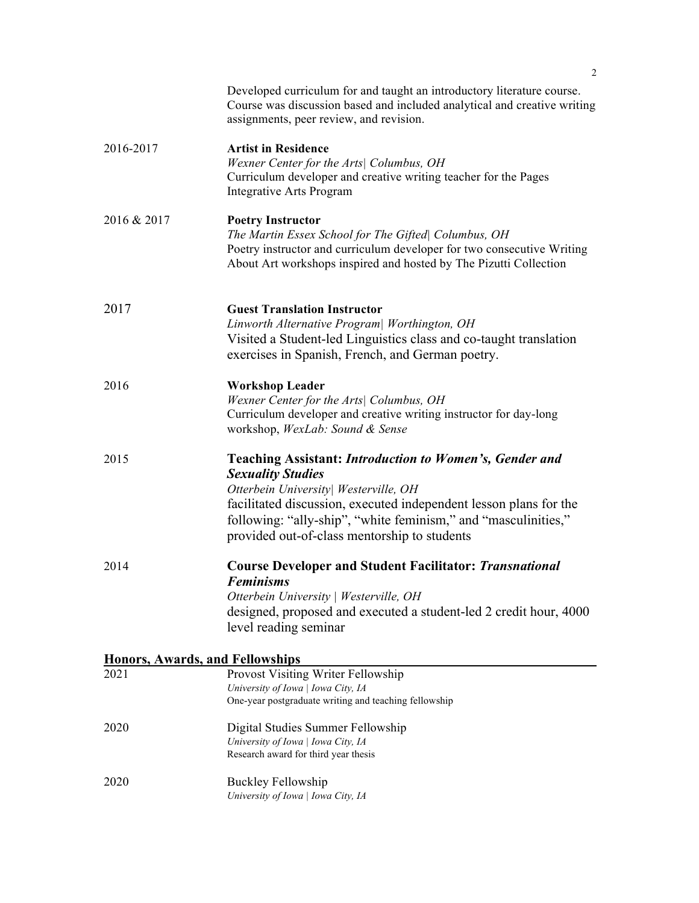|             | Developed curriculum for and taught an introductory literature course.<br>Course was discussion based and included analytical and creative writing<br>assignments, peer review, and revision.                                                                                                                               |
|-------------|-----------------------------------------------------------------------------------------------------------------------------------------------------------------------------------------------------------------------------------------------------------------------------------------------------------------------------|
| 2016-2017   | <b>Artist in Residence</b><br>Wexner Center for the Arts  Columbus, OH<br>Curriculum developer and creative writing teacher for the Pages<br>Integrative Arts Program                                                                                                                                                       |
| 2016 & 2017 | <b>Poetry Instructor</b><br>The Martin Essex School for The Gifted  Columbus, OH<br>Poetry instructor and curriculum developer for two consecutive Writing<br>About Art workshops inspired and hosted by The Pizutti Collection                                                                                             |
| 2017        | <b>Guest Translation Instructor</b><br>Linworth Alternative Program  Worthington, OH<br>Visited a Student-led Linguistics class and co-taught translation<br>exercises in Spanish, French, and German poetry.                                                                                                               |
| 2016        | <b>Workshop Leader</b><br>Wexner Center for the Arts  Columbus, OH<br>Curriculum developer and creative writing instructor for day-long<br>workshop, WexLab: Sound & Sense                                                                                                                                                  |
| 2015        | <b>Teaching Assistant: Introduction to Women's, Gender and</b><br><b>Sexuality Studies</b><br>Otterbein University   Westerville, OH<br>facilitated discussion, executed independent lesson plans for the<br>following: "ally-ship", "white feminism," and "masculinities,"<br>provided out-of-class mentorship to students |
| 2014        | <b>Course Developer and Student Facilitator: Transnational</b><br><b>Feminisms</b><br>Otterbein University   Westerville, OH<br>designed, proposed and executed a student-led 2 credit hour, 4000<br>level reading seminar                                                                                                  |
|             | <b>Honors, Awards, and Fellowships</b>                                                                                                                                                                                                                                                                                      |
| 2021        | Provost Visiting Writer Fellowship<br>University of Iowa   Iowa City, IA<br>One-year postgraduate writing and teaching fellowship                                                                                                                                                                                           |
| 2020        | Digital Studies Summer Fellowship<br>University of Iowa   Iowa City, IA<br>Research award for third year thesis                                                                                                                                                                                                             |
| 2020        | <b>Buckley Fellowship</b><br>University of Iowa   Iowa City, IA                                                                                                                                                                                                                                                             |

2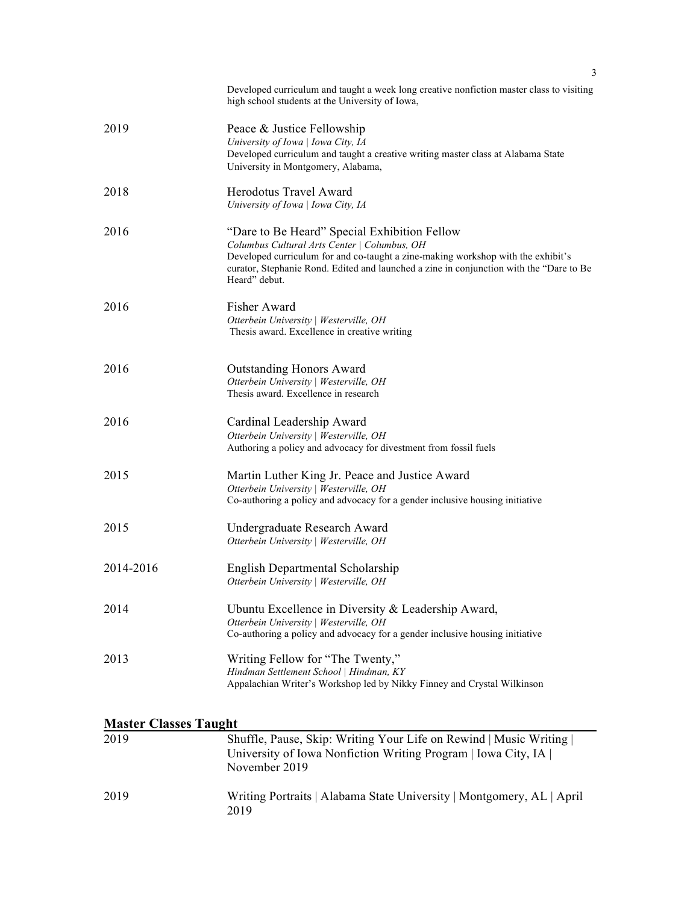|                              | Developed curriculum and taught a week long creative nonfiction master class to visiting<br>high school students at the University of Iowa,                                                                                                                                                  |
|------------------------------|----------------------------------------------------------------------------------------------------------------------------------------------------------------------------------------------------------------------------------------------------------------------------------------------|
| 2019                         | Peace & Justice Fellowship<br>University of Iowa   Iowa City, IA<br>Developed curriculum and taught a creative writing master class at Alabama State                                                                                                                                         |
|                              | University in Montgomery, Alabama,                                                                                                                                                                                                                                                           |
| 2018                         | Herodotus Travel Award<br>University of Iowa   Iowa City, IA                                                                                                                                                                                                                                 |
| 2016                         | "Dare to Be Heard" Special Exhibition Fellow<br>Columbus Cultural Arts Center   Columbus, OH<br>Developed curriculum for and co-taught a zine-making workshop with the exhibit's<br>curator, Stephanie Rond. Edited and launched a zine in conjunction with the "Dare to Be<br>Heard" debut. |
| 2016                         | Fisher Award<br>Otterbein University   Westerville, OH<br>Thesis award. Excellence in creative writing                                                                                                                                                                                       |
| 2016                         | <b>Outstanding Honors Award</b><br>Otterbein University   Westerville, OH<br>Thesis award. Excellence in research                                                                                                                                                                            |
| 2016                         | Cardinal Leadership Award<br>Otterbein University   Westerville, OH<br>Authoring a policy and advocacy for divestment from fossil fuels                                                                                                                                                      |
| 2015                         | Martin Luther King Jr. Peace and Justice Award<br>Otterbein University   Westerville, OH<br>Co-authoring a policy and advocacy for a gender inclusive housing initiative                                                                                                                     |
| 2015                         | Undergraduate Research Award<br>Otterbein University   Westerville, OH                                                                                                                                                                                                                       |
| 2014-2016                    | English Departmental Scholarship<br>Otterbein University   Westerville, OH                                                                                                                                                                                                                   |
| 2014                         | Ubuntu Excellence in Diversity & Leadership Award,<br>Otterbein University   Westerville, OH<br>Co-authoring a policy and advocacy for a gender inclusive housing initiative                                                                                                                 |
| 2013                         | Writing Fellow for "The Twenty,"<br>Hindman Settlement School   Hindman, KY<br>Appalachian Writer's Workshop led by Nikky Finney and Crystal Wilkinson                                                                                                                                       |
| <b>Master Classes Taught</b> |                                                                                                                                                                                                                                                                                              |
| 2019                         | Shuffle, Pause, Skip: Writing Your Life on Rewind   Music Writing  <br>University of Iowa Nonfiction Writing Program   Iowa City, IA  <br>November 2019                                                                                                                                      |
| 2019                         | Writing Portraits   Alabama State University   Montgomery, AL   April                                                                                                                                                                                                                        |

2019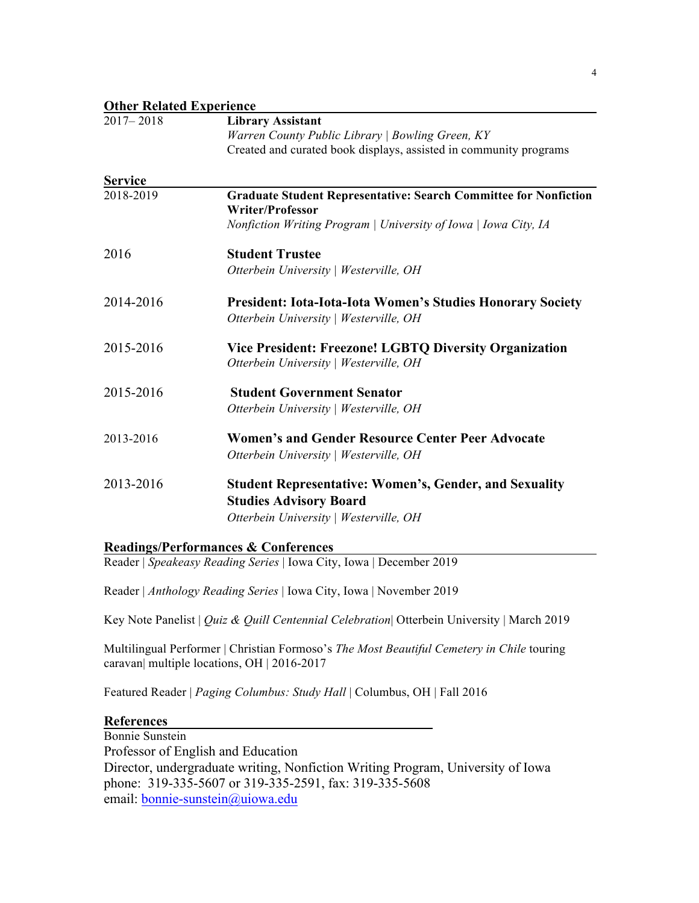| <b>Other Related Experience</b> |                                                                                                    |  |
|---------------------------------|----------------------------------------------------------------------------------------------------|--|
| $2017 - 2018$                   | <b>Library Assistant</b>                                                                           |  |
|                                 | Warren County Public Library   Bowling Green, KY                                                   |  |
|                                 | Created and curated book displays, assisted in community programs                                  |  |
| <b>Service</b>                  |                                                                                                    |  |
| 2018-2019                       | <b>Graduate Student Representative: Search Committee for Nonfiction</b><br><b>Writer/Professor</b> |  |
|                                 | Nonfiction Writing Program   University of Iowa   Iowa City, IA                                    |  |
| 2016                            | <b>Student Trustee</b>                                                                             |  |
|                                 | Otterbein University   Westerville, OH                                                             |  |
| 2014-2016                       | <b>President: Iota-Iota-Iota Women's Studies Honorary Society</b>                                  |  |
|                                 | Otterbein University   Westerville, OH                                                             |  |
| 2015-2016                       | Vice President: Freezone! LGBTQ Diversity Organization                                             |  |
|                                 | Otterbein University   Westerville, OH                                                             |  |
| 2015-2016                       | <b>Student Government Senator</b>                                                                  |  |
|                                 | Otterbein University   Westerville, OH                                                             |  |
| 2013-2016                       | <b>Women's and Gender Resource Center Peer Advocate</b>                                            |  |
|                                 | Otterbein University   Westerville, OH                                                             |  |
| 2013-2016                       | <b>Student Representative: Women's, Gender, and Sexuality</b>                                      |  |
|                                 | <b>Studies Advisory Board</b>                                                                      |  |
|                                 | Otterbein University   Westerville, OH                                                             |  |
|                                 |                                                                                                    |  |

## **Readings/Performances & Conferences**

Reader | *Speakeasy Reading Series* | Iowa City, Iowa | December 2019

Reader | *Anthology Reading Series* | Iowa City, Iowa | November 2019

Key Note Panelist | *Quiz & Quill Centennial Celebration*| Otterbein University | March 2019

Multilingual Performer | Christian Formoso's *The Most Beautiful Cemetery in Chile* touring caravan| multiple locations, OH | 2016-2017

Featured Reader | *Paging Columbus: Study Hall* | Columbus, OH | Fall 2016

## **References**

Bonnie Sunstein Professor of English and Education Director, undergraduate writing, Nonfiction Writing Program, University of Iowa phone: 319-335-5607 or 319-335-2591, fax: 319-335-5608 email: bonnie-sunstein@uiowa.edu